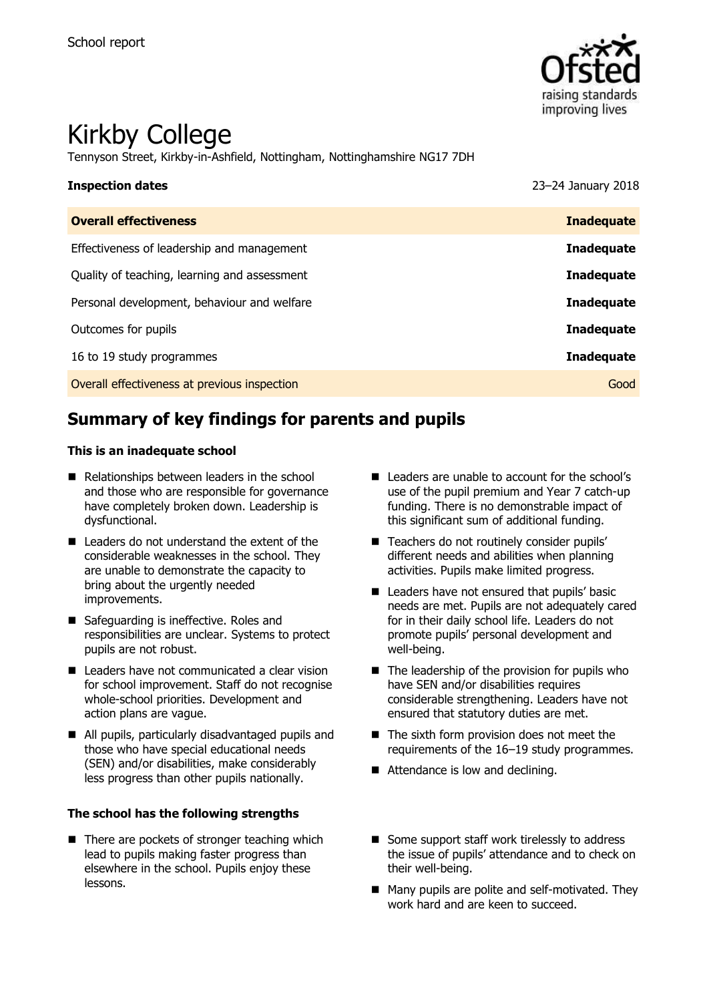

# Kirkby College

Tennyson Street, Kirkby-in-Ashfield, Nottingham, Nottinghamshire NG17 7DH

| <b>Inspection dates</b>                      | 23-24 January 2018 |
|----------------------------------------------|--------------------|
| <b>Overall effectiveness</b>                 | <b>Inadequate</b>  |
| Effectiveness of leadership and management   | <b>Inadequate</b>  |
| Quality of teaching, learning and assessment | <b>Inadequate</b>  |
| Personal development, behaviour and welfare  | <b>Inadequate</b>  |
| Outcomes for pupils                          | <b>Inadequate</b>  |
| 16 to 19 study programmes                    | <b>Inadequate</b>  |
| Overall effectiveness at previous inspection | Good               |

# **Summary of key findings for parents and pupils**

#### **This is an inadequate school**

- Relationships between leaders in the school and those who are responsible for governance have completely broken down. Leadership is dysfunctional.
- Leaders do not understand the extent of the considerable weaknesses in the school. They are unable to demonstrate the capacity to bring about the urgently needed improvements.
- Safeguarding is ineffective. Roles and responsibilities are unclear. Systems to protect pupils are not robust.
- Leaders have not communicated a clear vision for school improvement. Staff do not recognise whole-school priorities. Development and action plans are vague.
- All pupils, particularly disadvantaged pupils and those who have special educational needs (SEN) and/or disabilities, make considerably less progress than other pupils nationally.

#### **The school has the following strengths**

 $\blacksquare$  There are pockets of stronger teaching which lead to pupils making faster progress than elsewhere in the school. Pupils enjoy these lessons.

- Leaders are unable to account for the school's use of the pupil premium and Year 7 catch-up funding. There is no demonstrable impact of this significant sum of additional funding.
- Teachers do not routinely consider pupils' different needs and abilities when planning activities. Pupils make limited progress.
- Leaders have not ensured that pupils' basic needs are met. Pupils are not adequately cared for in their daily school life. Leaders do not promote pupils' personal development and well-being.
- $\blacksquare$  The leadership of the provision for pupils who have SEN and/or disabilities requires considerable strengthening. Leaders have not ensured that statutory duties are met.
- The sixth form provision does not meet the requirements of the 16–19 study programmes.
- Attendance is low and declining.
- Some support staff work tirelessly to address the issue of pupils' attendance and to check on their well-being.
- Many pupils are polite and self-motivated. They work hard and are keen to succeed.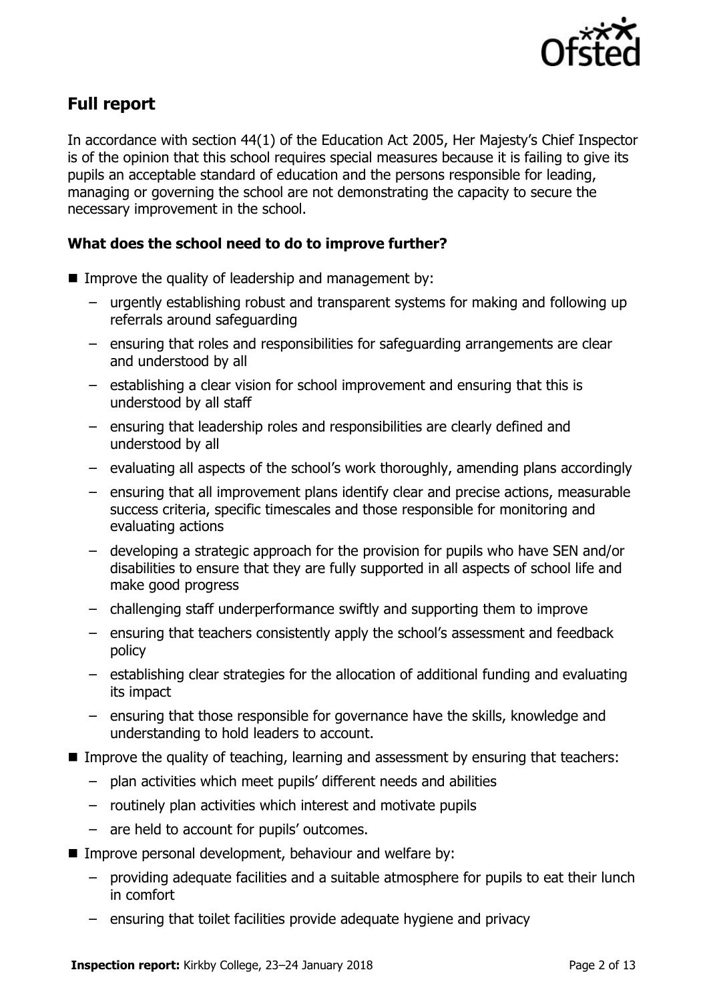

# **Full report**

In accordance with section 44(1) of the Education Act 2005, Her Majesty's Chief Inspector is of the opinion that this school requires special measures because it is failing to give its pupils an acceptable standard of education and the persons responsible for leading, managing or governing the school are not demonstrating the capacity to secure the necessary improvement in the school.

### **What does the school need to do to improve further?**

- $\blacksquare$  Improve the quality of leadership and management by:
	- urgently establishing robust and transparent systems for making and following up referrals around safeguarding
	- ensuring that roles and responsibilities for safeguarding arrangements are clear and understood by all
	- establishing a clear vision for school improvement and ensuring that this is understood by all staff
	- ensuring that leadership roles and responsibilities are clearly defined and understood by all
	- evaluating all aspects of the school's work thoroughly, amending plans accordingly
	- ensuring that all improvement plans identify clear and precise actions, measurable success criteria, specific timescales and those responsible for monitoring and evaluating actions
	- developing a strategic approach for the provision for pupils who have SEN and/or disabilities to ensure that they are fully supported in all aspects of school life and make good progress
	- challenging staff underperformance swiftly and supporting them to improve
	- ensuring that teachers consistently apply the school's assessment and feedback policy
	- establishing clear strategies for the allocation of additional funding and evaluating its impact
	- ensuring that those responsible for governance have the skills, knowledge and understanding to hold leaders to account.
- Improve the quality of teaching, learning and assessment by ensuring that teachers:
	- plan activities which meet pupils' different needs and abilities
	- routinely plan activities which interest and motivate pupils
	- are held to account for pupils' outcomes.
- Improve personal development, behaviour and welfare by:
	- providing adequate facilities and a suitable atmosphere for pupils to eat their lunch in comfort
	- ensuring that toilet facilities provide adequate hygiene and privacy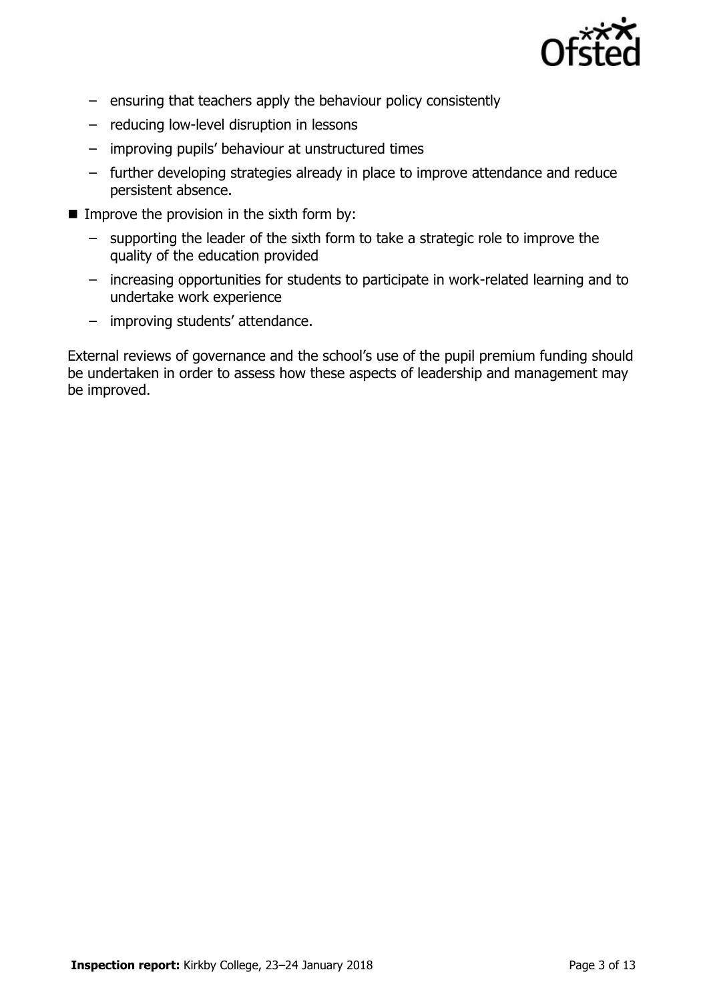

- ensuring that teachers apply the behaviour policy consistently
- reducing low-level disruption in lessons
- improving pupils' behaviour at unstructured times
- further developing strategies already in place to improve attendance and reduce persistent absence.
- Improve the provision in the sixth form by:
	- supporting the leader of the sixth form to take a strategic role to improve the quality of the education provided
	- increasing opportunities for students to participate in work-related learning and to undertake work experience
	- improving students' attendance.

External reviews of governance and the school's use of the pupil premium funding should be undertaken in order to assess how these aspects of leadership and management may be improved.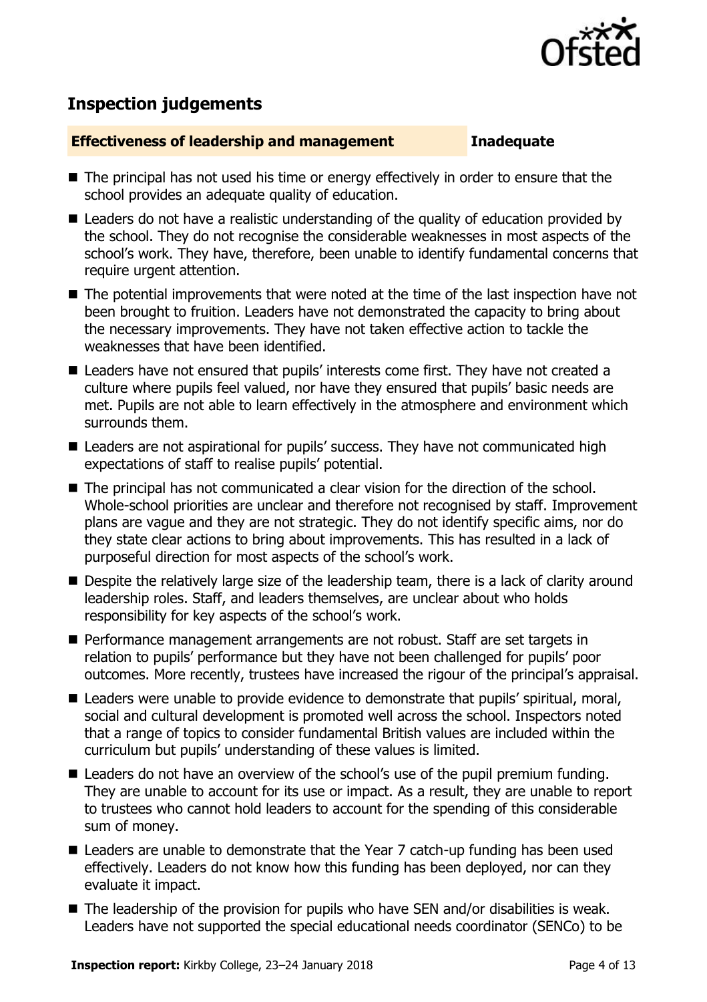

# **Inspection judgements**

### **Effectiveness of leadership and management Inadequate**

- The principal has not used his time or energy effectively in order to ensure that the school provides an adequate quality of education.
- Leaders do not have a realistic understanding of the quality of education provided by the school. They do not recognise the considerable weaknesses in most aspects of the school's work. They have, therefore, been unable to identify fundamental concerns that require urgent attention.
- The potential improvements that were noted at the time of the last inspection have not been brought to fruition. Leaders have not demonstrated the capacity to bring about the necessary improvements. They have not taken effective action to tackle the weaknesses that have been identified.
- Leaders have not ensured that pupils' interests come first. They have not created a culture where pupils feel valued, nor have they ensured that pupils' basic needs are met. Pupils are not able to learn effectively in the atmosphere and environment which surrounds them.
- Leaders are not aspirational for pupils' success. They have not communicated high expectations of staff to realise pupils' potential.
- The principal has not communicated a clear vision for the direction of the school. Whole-school priorities are unclear and therefore not recognised by staff. Improvement plans are vague and they are not strategic. They do not identify specific aims, nor do they state clear actions to bring about improvements. This has resulted in a lack of purposeful direction for most aspects of the school's work.
- Despite the relatively large size of the leadership team, there is a lack of clarity around leadership roles. Staff, and leaders themselves, are unclear about who holds responsibility for key aspects of the school's work.
- **Performance management arrangements are not robust. Staff are set targets in** relation to pupils' performance but they have not been challenged for pupils' poor outcomes. More recently, trustees have increased the rigour of the principal's appraisal.
- Leaders were unable to provide evidence to demonstrate that pupils' spiritual, moral, social and cultural development is promoted well across the school. Inspectors noted that a range of topics to consider fundamental British values are included within the curriculum but pupils' understanding of these values is limited.
- Leaders do not have an overview of the school's use of the pupil premium funding. They are unable to account for its use or impact. As a result, they are unable to report to trustees who cannot hold leaders to account for the spending of this considerable sum of money.
- Leaders are unable to demonstrate that the Year 7 catch-up funding has been used effectively. Leaders do not know how this funding has been deployed, nor can they evaluate it impact.
- The leadership of the provision for pupils who have SEN and/or disabilities is weak. Leaders have not supported the special educational needs coordinator (SENCo) to be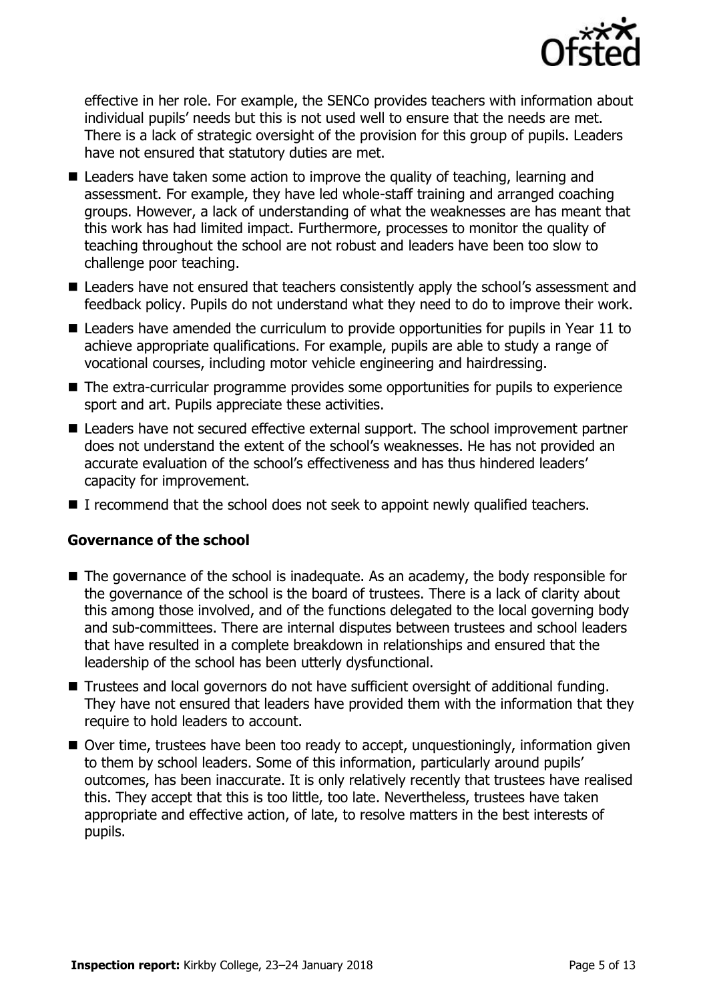

effective in her role. For example, the SENCo provides teachers with information about individual pupils' needs but this is not used well to ensure that the needs are met. There is a lack of strategic oversight of the provision for this group of pupils. Leaders have not ensured that statutory duties are met.

- Leaders have taken some action to improve the quality of teaching, learning and assessment. For example, they have led whole-staff training and arranged coaching groups. However, a lack of understanding of what the weaknesses are has meant that this work has had limited impact. Furthermore, processes to monitor the quality of teaching throughout the school are not robust and leaders have been too slow to challenge poor teaching.
- Leaders have not ensured that teachers consistently apply the school's assessment and feedback policy. Pupils do not understand what they need to do to improve their work.
- Leaders have amended the curriculum to provide opportunities for pupils in Year 11 to achieve appropriate qualifications. For example, pupils are able to study a range of vocational courses, including motor vehicle engineering and hairdressing.
- The extra-curricular programme provides some opportunities for pupils to experience sport and art. Pupils appreciate these activities.
- Leaders have not secured effective external support. The school improvement partner does not understand the extent of the school's weaknesses. He has not provided an accurate evaluation of the school's effectiveness and has thus hindered leaders' capacity for improvement.
- I recommend that the school does not seek to appoint newly qualified teachers.

#### **Governance of the school**

- The governance of the school is inadequate. As an academy, the body responsible for the governance of the school is the board of trustees. There is a lack of clarity about this among those involved, and of the functions delegated to the local governing body and sub-committees. There are internal disputes between trustees and school leaders that have resulted in a complete breakdown in relationships and ensured that the leadership of the school has been utterly dysfunctional.
- Trustees and local governors do not have sufficient oversight of additional funding. They have not ensured that leaders have provided them with the information that they require to hold leaders to account.
- Over time, trustees have been too ready to accept, unquestioningly, information given to them by school leaders. Some of this information, particularly around pupils' outcomes, has been inaccurate. It is only relatively recently that trustees have realised this. They accept that this is too little, too late. Nevertheless, trustees have taken appropriate and effective action, of late, to resolve matters in the best interests of pupils.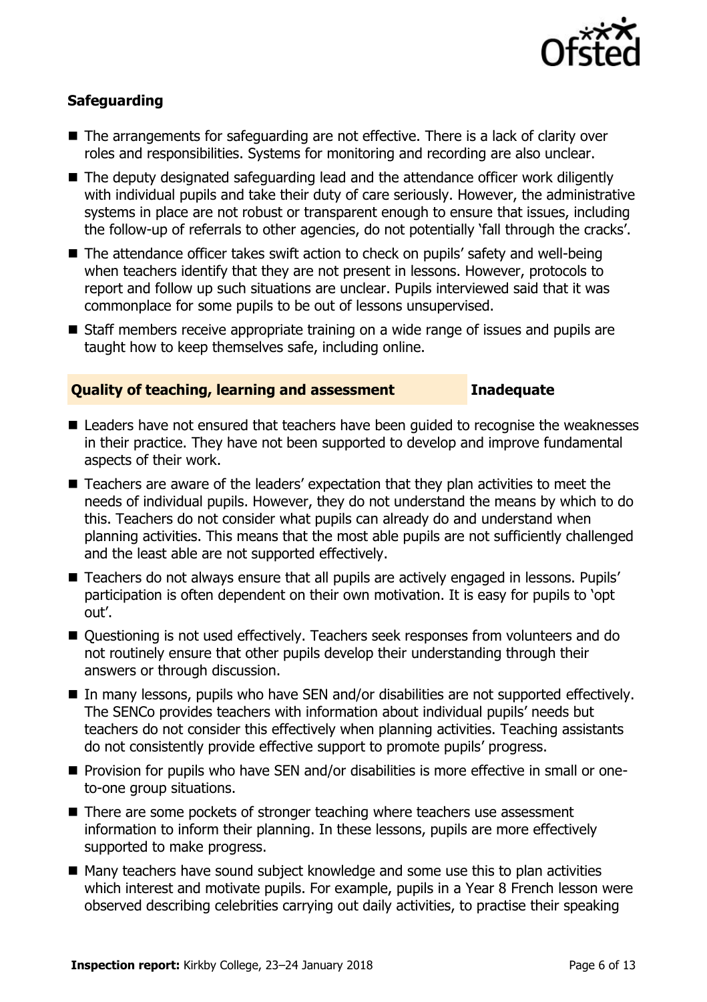

### **Safeguarding**

- The arrangements for safeguarding are not effective. There is a lack of clarity over roles and responsibilities. Systems for monitoring and recording are also unclear.
- The deputy designated safeguarding lead and the attendance officer work diligently with individual pupils and take their duty of care seriously. However, the administrative systems in place are not robust or transparent enough to ensure that issues, including the follow-up of referrals to other agencies, do not potentially 'fall through the cracks'.
- The attendance officer takes swift action to check on pupils' safety and well-being when teachers identify that they are not present in lessons. However, protocols to report and follow up such situations are unclear. Pupils interviewed said that it was commonplace for some pupils to be out of lessons unsupervised.
- Staff members receive appropriate training on a wide range of issues and pupils are taught how to keep themselves safe, including online.

#### **Quality of teaching, learning and assessment Inadequate**

- Leaders have not ensured that teachers have been guided to recognise the weaknesses in their practice. They have not been supported to develop and improve fundamental aspects of their work.
- Teachers are aware of the leaders' expectation that they plan activities to meet the needs of individual pupils. However, they do not understand the means by which to do this. Teachers do not consider what pupils can already do and understand when planning activities. This means that the most able pupils are not sufficiently challenged and the least able are not supported effectively.
- Teachers do not always ensure that all pupils are actively engaged in lessons. Pupils' participation is often dependent on their own motivation. It is easy for pupils to 'opt out'.
- Questioning is not used effectively. Teachers seek responses from volunteers and do not routinely ensure that other pupils develop their understanding through their answers or through discussion.
- In many lessons, pupils who have SEN and/or disabilities are not supported effectively. The SENCo provides teachers with information about individual pupils' needs but teachers do not consider this effectively when planning activities. Teaching assistants do not consistently provide effective support to promote pupils' progress.
- **Provision for pupils who have SEN and/or disabilities is more effective in small or one**to-one group situations.
- There are some pockets of stronger teaching where teachers use assessment information to inform their planning. In these lessons, pupils are more effectively supported to make progress.
- Many teachers have sound subject knowledge and some use this to plan activities which interest and motivate pupils. For example, pupils in a Year 8 French lesson were observed describing celebrities carrying out daily activities, to practise their speaking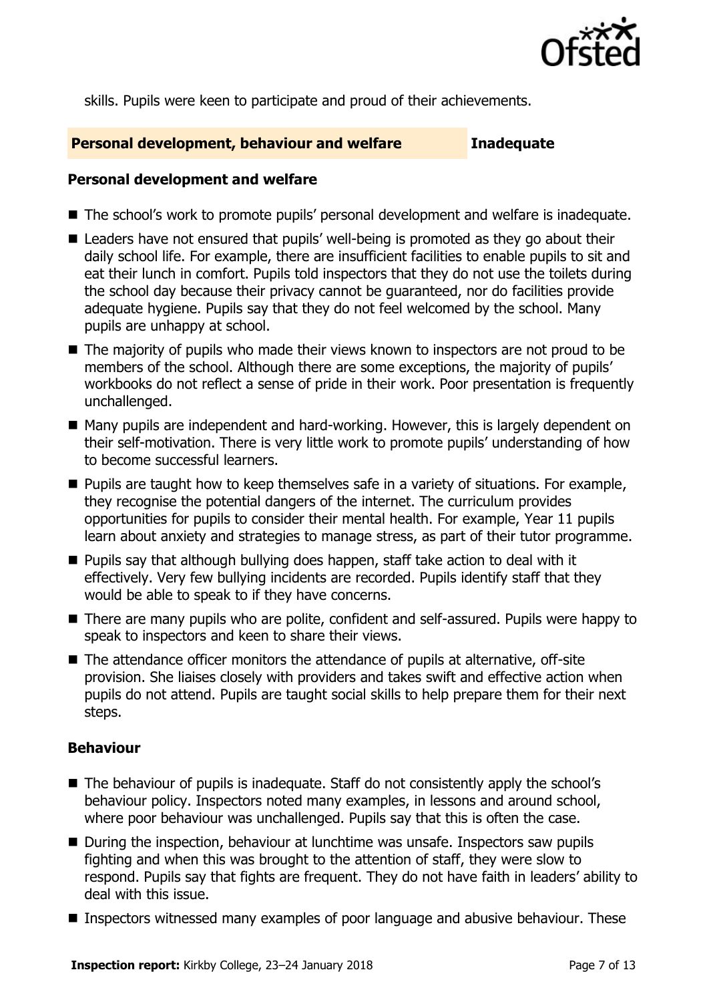

skills. Pupils were keen to participate and proud of their achievements.

#### **Personal development, behaviour and welfare Inadequate**

#### **Personal development and welfare**

- The school's work to promote pupils' personal development and welfare is inadequate.
- Leaders have not ensured that pupils' well-being is promoted as they go about their daily school life. For example, there are insufficient facilities to enable pupils to sit and eat their lunch in comfort. Pupils told inspectors that they do not use the toilets during the school day because their privacy cannot be guaranteed, nor do facilities provide adequate hygiene. Pupils say that they do not feel welcomed by the school. Many pupils are unhappy at school.
- The majority of pupils who made their views known to inspectors are not proud to be members of the school. Although there are some exceptions, the majority of pupils' workbooks do not reflect a sense of pride in their work. Poor presentation is frequently unchallenged.
- Many pupils are independent and hard-working. However, this is largely dependent on their self-motivation. There is very little work to promote pupils' understanding of how to become successful learners.
- **Pupils are taught how to keep themselves safe in a variety of situations. For example,** they recognise the potential dangers of the internet. The curriculum provides opportunities for pupils to consider their mental health. For example, Year 11 pupils learn about anxiety and strategies to manage stress, as part of their tutor programme.
- **Pupils say that although bullying does happen, staff take action to deal with it** effectively. Very few bullying incidents are recorded. Pupils identify staff that they would be able to speak to if they have concerns.
- There are many pupils who are polite, confident and self-assured. Pupils were happy to speak to inspectors and keen to share their views.
- The attendance officer monitors the attendance of pupils at alternative, off-site provision. She liaises closely with providers and takes swift and effective action when pupils do not attend. Pupils are taught social skills to help prepare them for their next steps.

### **Behaviour**

- The behaviour of pupils is inadequate. Staff do not consistently apply the school's behaviour policy. Inspectors noted many examples, in lessons and around school, where poor behaviour was unchallenged. Pupils say that this is often the case.
- During the inspection, behaviour at lunchtime was unsafe. Inspectors saw pupils fighting and when this was brought to the attention of staff, they were slow to respond. Pupils say that fights are frequent. They do not have faith in leaders' ability to deal with this issue.
- **Inspectors witnessed many examples of poor language and abusive behaviour. These**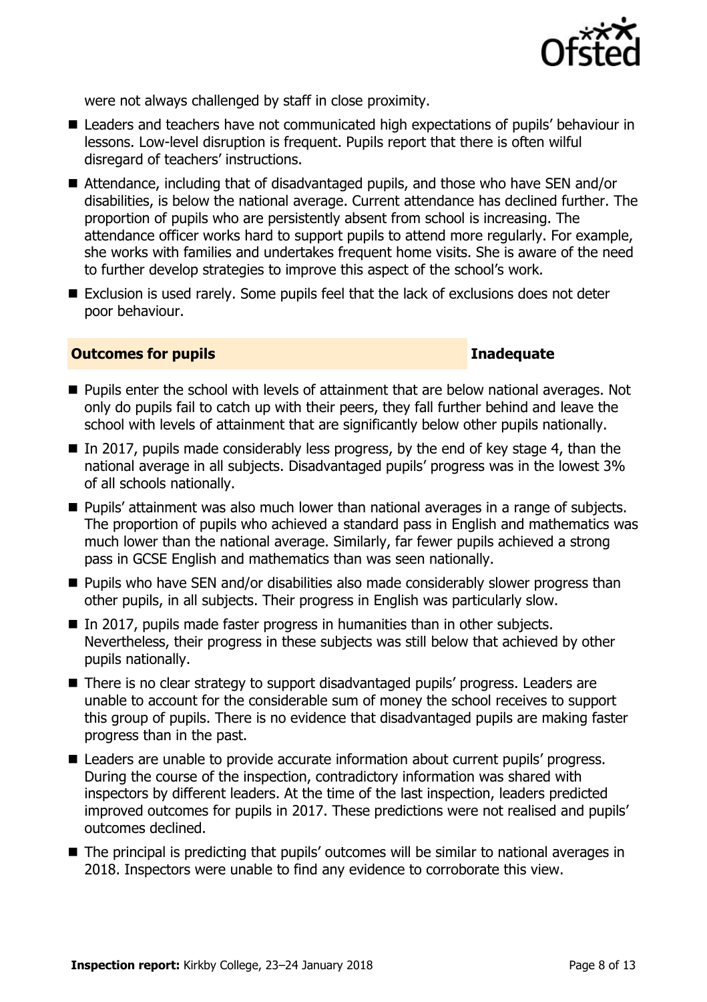

were not always challenged by staff in close proximity.

- Leaders and teachers have not communicated high expectations of pupils' behaviour in lessons. Low-level disruption is frequent. Pupils report that there is often wilful disregard of teachers' instructions.
- Attendance, including that of disadvantaged pupils, and those who have SEN and/or disabilities, is below the national average. Current attendance has declined further. The proportion of pupils who are persistently absent from school is increasing. The attendance officer works hard to support pupils to attend more regularly. For example, she works with families and undertakes frequent home visits. She is aware of the need to further develop strategies to improve this aspect of the school's work.
- Exclusion is used rarely. Some pupils feel that the lack of exclusions does not deter poor behaviour.

### **Outcomes for pupils Inadequate**

- **Pupils enter the school with levels of attainment that are below national averages. Not** only do pupils fail to catch up with their peers, they fall further behind and leave the school with levels of attainment that are significantly below other pupils nationally.
- $\blacksquare$  In 2017, pupils made considerably less progress, by the end of key stage 4, than the national average in all subjects. Disadvantaged pupils' progress was in the lowest 3% of all schools nationally.
- Pupils' attainment was also much lower than national averages in a range of subjects. The proportion of pupils who achieved a standard pass in English and mathematics was much lower than the national average. Similarly, far fewer pupils achieved a strong pass in GCSE English and mathematics than was seen nationally.
- **Pupils who have SEN and/or disabilities also made considerably slower progress than** other pupils, in all subjects. Their progress in English was particularly slow.
- In 2017, pupils made faster progress in humanities than in other subjects. Nevertheless, their progress in these subjects was still below that achieved by other pupils nationally.
- There is no clear strategy to support disadvantaged pupils' progress. Leaders are unable to account for the considerable sum of money the school receives to support this group of pupils. There is no evidence that disadvantaged pupils are making faster progress than in the past.
- Leaders are unable to provide accurate information about current pupils' progress. During the course of the inspection, contradictory information was shared with inspectors by different leaders. At the time of the last inspection, leaders predicted improved outcomes for pupils in 2017. These predictions were not realised and pupils' outcomes declined.
- The principal is predicting that pupils' outcomes will be similar to national averages in 2018. Inspectors were unable to find any evidence to corroborate this view.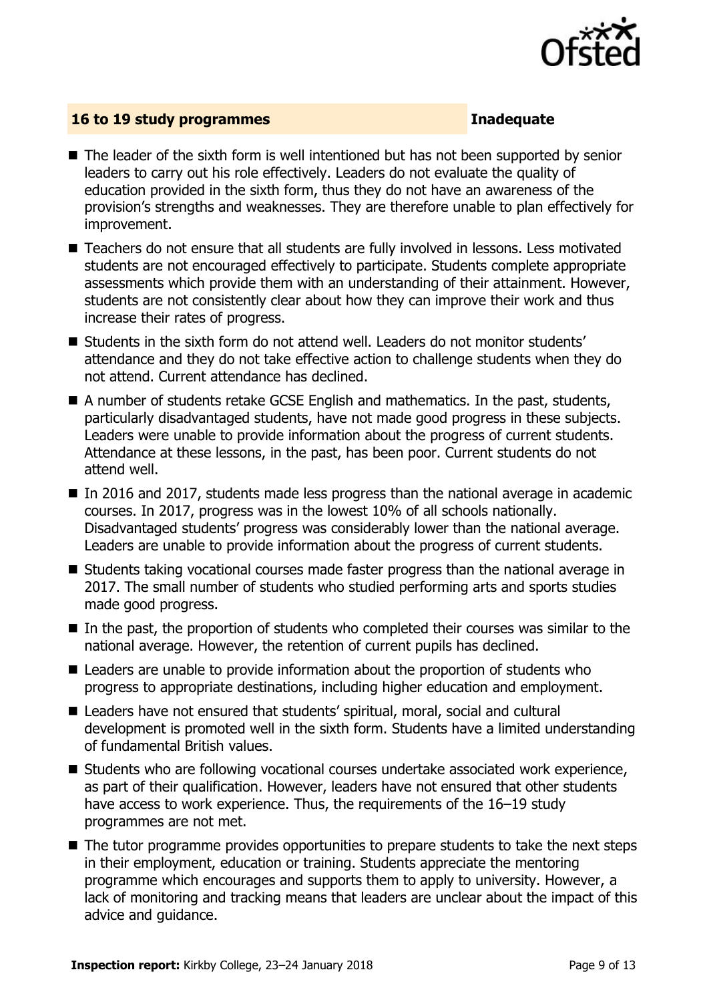

#### **16 to 19 study programmes Inadequate**

- The leader of the sixth form is well intentioned but has not been supported by senior leaders to carry out his role effectively. Leaders do not evaluate the quality of education provided in the sixth form, thus they do not have an awareness of the provision's strengths and weaknesses. They are therefore unable to plan effectively for improvement.
- Teachers do not ensure that all students are fully involved in lessons. Less motivated students are not encouraged effectively to participate. Students complete appropriate assessments which provide them with an understanding of their attainment. However, students are not consistently clear about how they can improve their work and thus increase their rates of progress.
- $\blacksquare$  Students in the sixth form do not attend well. Leaders do not monitor students' attendance and they do not take effective action to challenge students when they do not attend. Current attendance has declined.
- A number of students retake GCSE English and mathematics. In the past, students, particularly disadvantaged students, have not made good progress in these subjects. Leaders were unable to provide information about the progress of current students. Attendance at these lessons, in the past, has been poor. Current students do not attend well.
- In 2016 and 2017, students made less progress than the national average in academic courses. In 2017, progress was in the lowest 10% of all schools nationally. Disadvantaged students' progress was considerably lower than the national average. Leaders are unable to provide information about the progress of current students.
- Students taking vocational courses made faster progress than the national average in 2017. The small number of students who studied performing arts and sports studies made good progress.
- $\blacksquare$  In the past, the proportion of students who completed their courses was similar to the national average. However, the retention of current pupils has declined.
- Leaders are unable to provide information about the proportion of students who progress to appropriate destinations, including higher education and employment.
- Leaders have not ensured that students' spiritual, moral, social and cultural development is promoted well in the sixth form. Students have a limited understanding of fundamental British values.
- Students who are following vocational courses undertake associated work experience, as part of their qualification. However, leaders have not ensured that other students have access to work experience. Thus, the requirements of the 16–19 study programmes are not met.
- The tutor programme provides opportunities to prepare students to take the next steps in their employment, education or training. Students appreciate the mentoring programme which encourages and supports them to apply to university. However, a lack of monitoring and tracking means that leaders are unclear about the impact of this advice and guidance.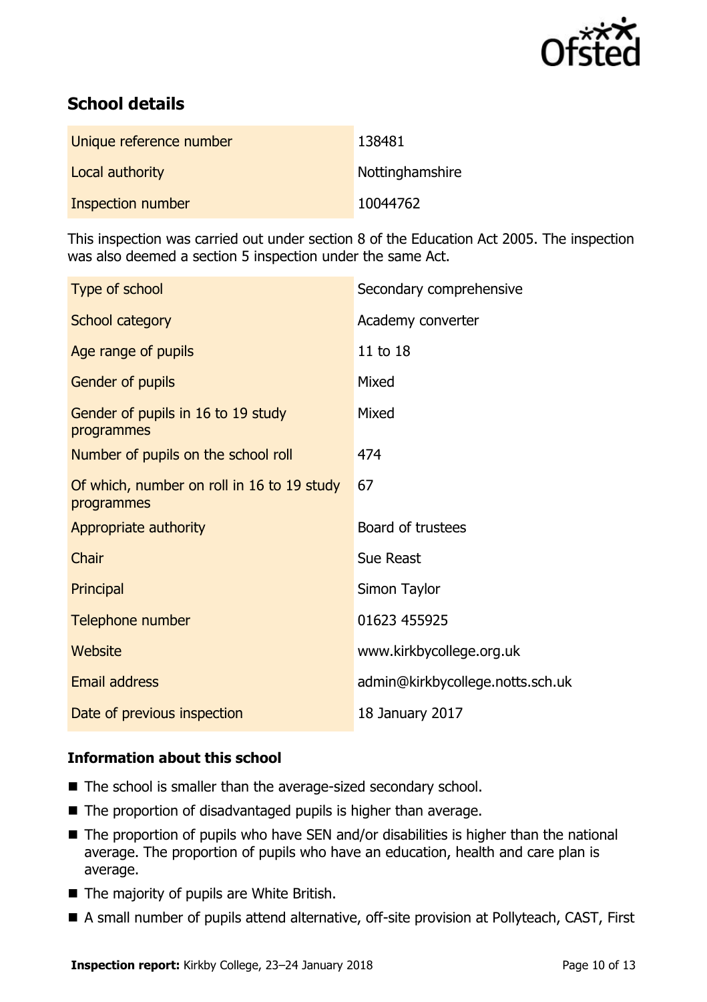

# **School details**

| Unique reference number | 138481          |
|-------------------------|-----------------|
| Local authority         | Nottinghamshire |
| Inspection number       | 10044762        |

This inspection was carried out under section 8 of the Education Act 2005. The inspection was also deemed a section 5 inspection under the same Act.

| Type of school                                           | Secondary comprehensive          |
|----------------------------------------------------------|----------------------------------|
| School category                                          | Academy converter                |
| Age range of pupils                                      | 11 to 18                         |
| Gender of pupils                                         | Mixed                            |
| Gender of pupils in 16 to 19 study<br>programmes         | Mixed                            |
| Number of pupils on the school roll                      | 474                              |
| Of which, number on roll in 16 to 19 study<br>programmes | 67                               |
| Appropriate authority                                    | Board of trustees                |
| Chair                                                    | Sue Reast                        |
| Principal                                                | Simon Taylor                     |
| Telephone number                                         | 01623 455925                     |
| Website                                                  | www.kirkbycollege.org.uk         |
| Email address                                            | admin@kirkbycollege.notts.sch.uk |
| Date of previous inspection                              | 18 January 2017                  |

### **Information about this school**

- The school is smaller than the average-sized secondary school.
- The proportion of disadvantaged pupils is higher than average.
- The proportion of pupils who have SEN and/or disabilities is higher than the national average. The proportion of pupils who have an education, health and care plan is average.
- The majority of pupils are White British.
- A small number of pupils attend alternative, off-site provision at Pollyteach, CAST, First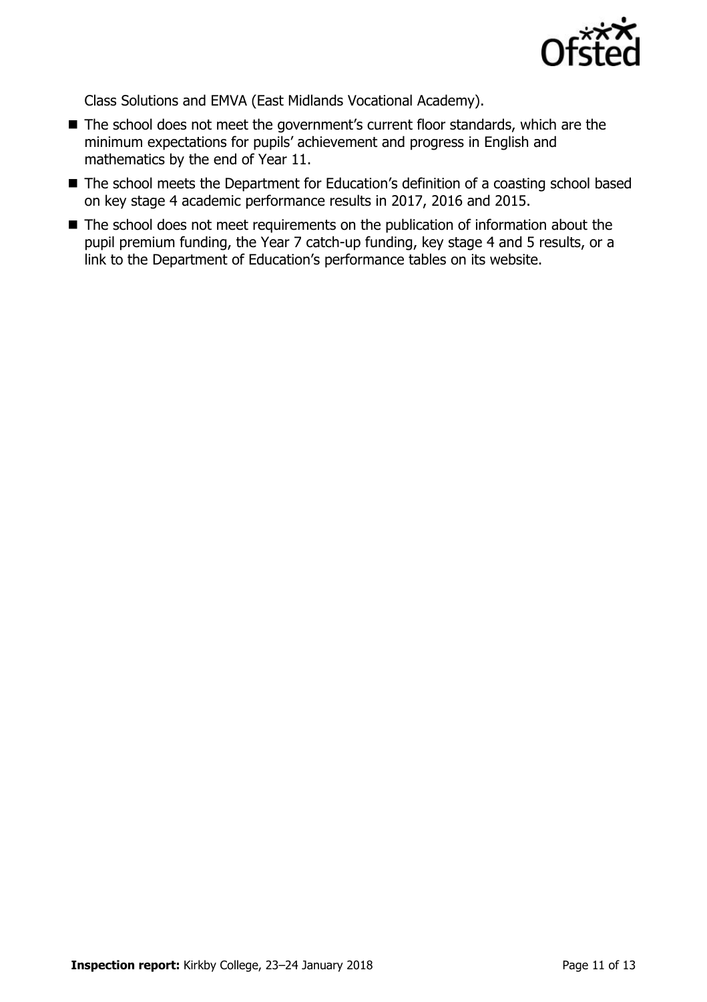

Class Solutions and EMVA (East Midlands Vocational Academy).

- The school does not meet the government's current floor standards, which are the minimum expectations for pupils' achievement and progress in English and mathematics by the end of Year 11.
- The school meets the Department for Education's definition of a coasting school based on key stage 4 academic performance results in 2017, 2016 and 2015.
- The school does not meet requirements on the publication of information about the pupil premium funding, the Year 7 catch-up funding, key stage 4 and 5 results, or a link to the Department of Education's performance tables on its website.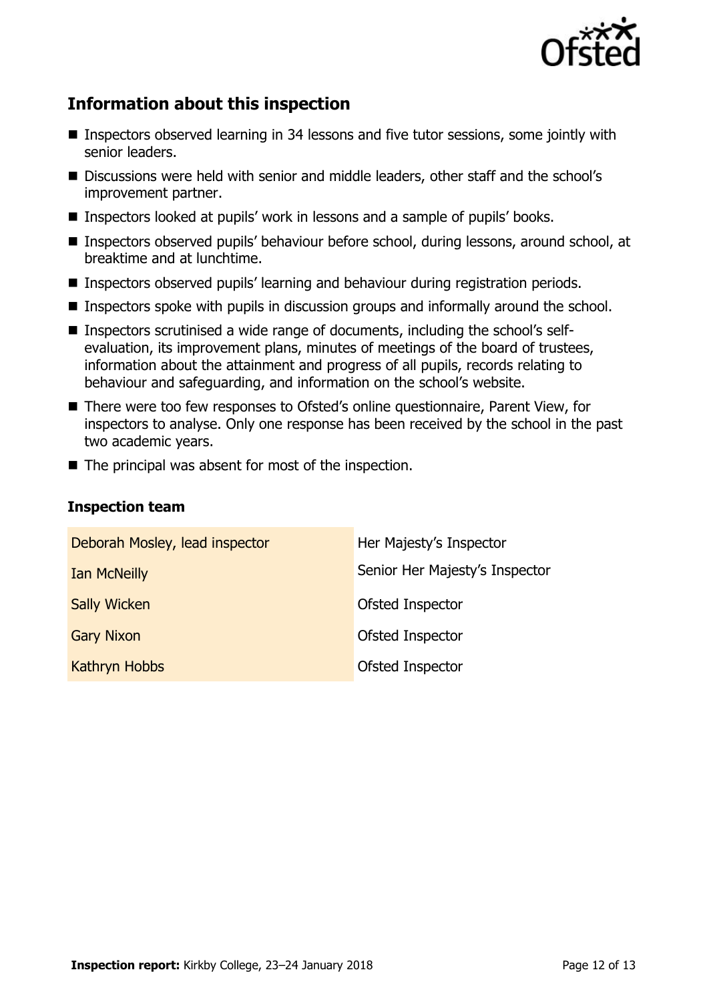

# **Information about this inspection**

- Inspectors observed learning in 34 lessons and five tutor sessions, some jointly with senior leaders.
- Discussions were held with senior and middle leaders, other staff and the school's improvement partner.
- Inspectors looked at pupils' work in lessons and a sample of pupils' books.
- Inspectors observed pupils' behaviour before school, during lessons, around school, at breaktime and at lunchtime.
- Inspectors observed pupils' learning and behaviour during registration periods.
- Inspectors spoke with pupils in discussion groups and informally around the school.
- Inspectors scrutinised a wide range of documents, including the school's selfevaluation, its improvement plans, minutes of meetings of the board of trustees, information about the attainment and progress of all pupils, records relating to behaviour and safeguarding, and information on the school's website.
- There were too few responses to Ofsted's online questionnaire, Parent View, for inspectors to analyse. Only one response has been received by the school in the past two academic years.
- $\blacksquare$  The principal was absent for most of the inspection.

#### **Inspection team**

| Deborah Mosley, lead inspector | Her Majesty's Inspector        |
|--------------------------------|--------------------------------|
| <b>Ian McNeilly</b>            | Senior Her Majesty's Inspector |
| <b>Sally Wicken</b>            | Ofsted Inspector               |
| <b>Gary Nixon</b>              | Ofsted Inspector               |
| Kathryn Hobbs                  | Ofsted Inspector               |